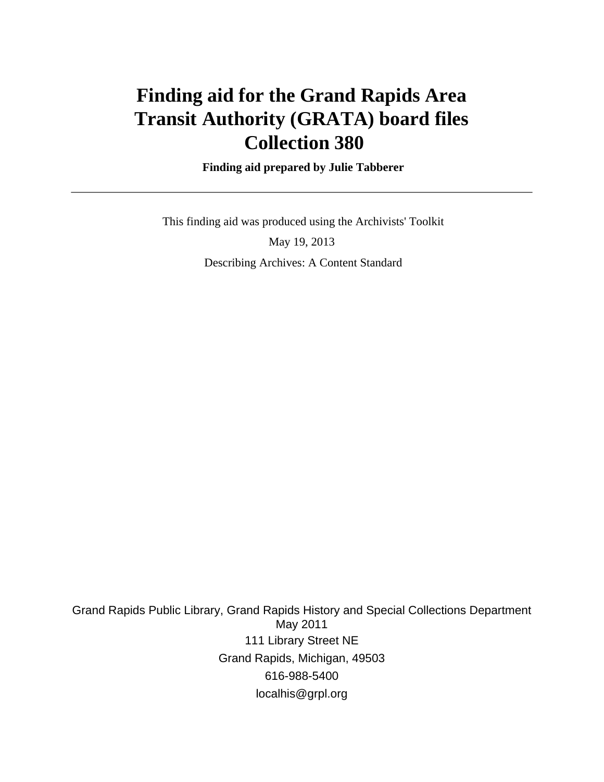# **Finding aid for the Grand Rapids Area Transit Authority (GRATA) board files Collection 380**

 **Finding aid prepared by Julie Tabberer**

 This finding aid was produced using the Archivists' Toolkit May 19, 2013 Describing Archives: A Content Standard

Grand Rapids Public Library, Grand Rapids History and Special Collections Department May 2011 111 Library Street NE Grand Rapids, Michigan, 49503 616-988-5400 localhis@grpl.org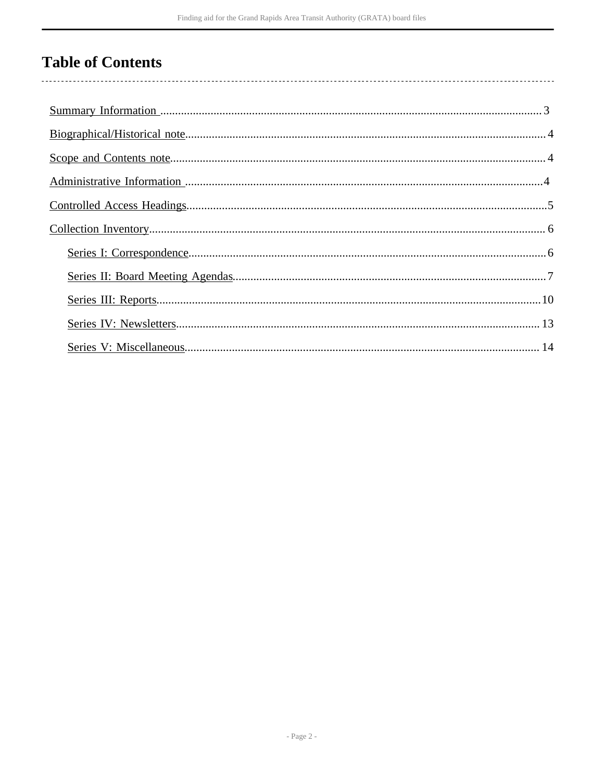# **Table of Contents**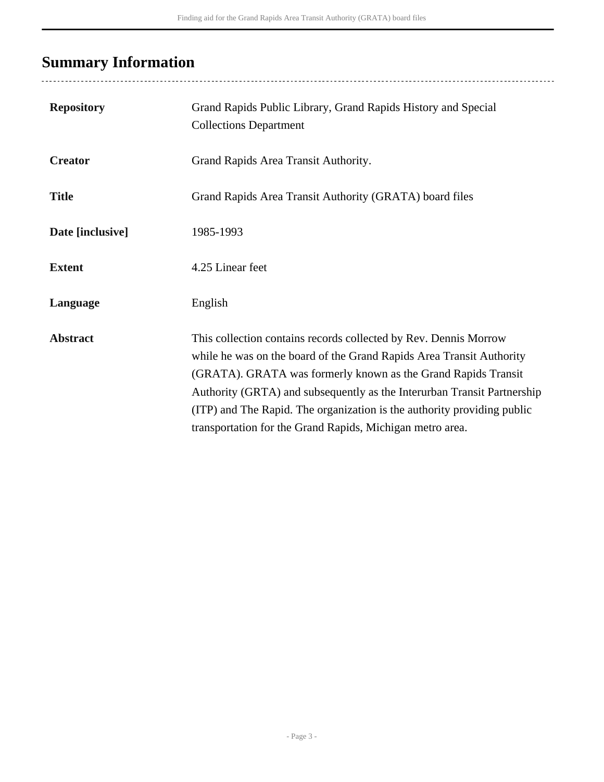# <span id="page-2-0"></span>**Summary Information**

| <b>Repository</b> | Grand Rapids Public Library, Grand Rapids History and Special<br><b>Collections Department</b>                                                                                                                                                                                                                                                                                                                               |
|-------------------|------------------------------------------------------------------------------------------------------------------------------------------------------------------------------------------------------------------------------------------------------------------------------------------------------------------------------------------------------------------------------------------------------------------------------|
| <b>Creator</b>    | Grand Rapids Area Transit Authority.                                                                                                                                                                                                                                                                                                                                                                                         |
| <b>Title</b>      | Grand Rapids Area Transit Authority (GRATA) board files                                                                                                                                                                                                                                                                                                                                                                      |
| Date [inclusive]  | 1985-1993                                                                                                                                                                                                                                                                                                                                                                                                                    |
| <b>Extent</b>     | 4.25 Linear feet                                                                                                                                                                                                                                                                                                                                                                                                             |
| Language          | English                                                                                                                                                                                                                                                                                                                                                                                                                      |
| <b>Abstract</b>   | This collection contains records collected by Rev. Dennis Morrow<br>while he was on the board of the Grand Rapids Area Transit Authority<br>(GRATA). GRATA was formerly known as the Grand Rapids Transit<br>Authority (GRTA) and subsequently as the Interurban Transit Partnership<br>(ITP) and The Rapid. The organization is the authority providing public<br>transportation for the Grand Rapids, Michigan metro area. |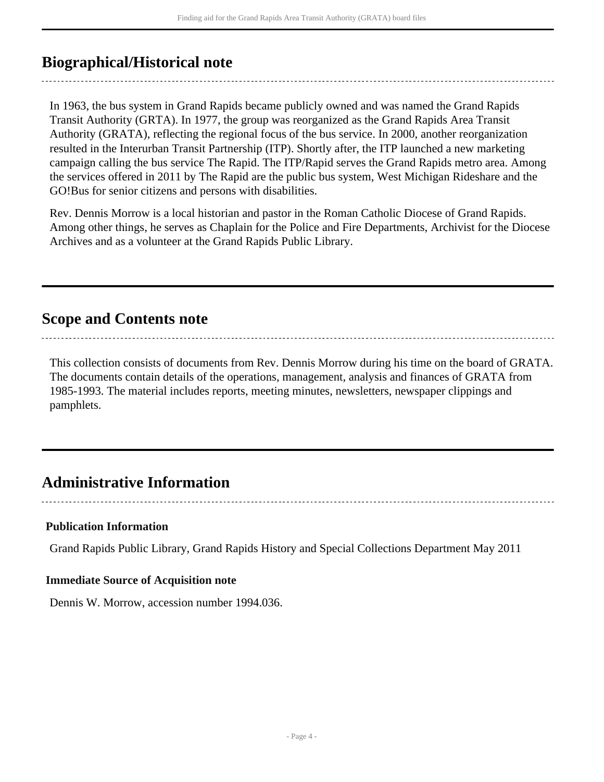# <span id="page-3-0"></span>**Biographical/Historical note**

In 1963, the bus system in Grand Rapids became publicly owned and was named the Grand Rapids Transit Authority (GRTA). In 1977, the group was reorganized as the Grand Rapids Area Transit Authority (GRATA), reflecting the regional focus of the bus service. In 2000, another reorganization resulted in the Interurban Transit Partnership (ITP). Shortly after, the ITP launched a new marketing campaign calling the bus service The Rapid. The ITP/Rapid serves the Grand Rapids metro area. Among the services offered in 2011 by The Rapid are the public bus system, West Michigan Rideshare and the GO!Bus for senior citizens and persons with disabilities.

Rev. Dennis Morrow is a local historian and pastor in the Roman Catholic Diocese of Grand Rapids. Among other things, he serves as Chaplain for the Police and Fire Departments, Archivist for the Diocese Archives and as a volunteer at the Grand Rapids Public Library.

## <span id="page-3-1"></span>**Scope and Contents note**

This collection consists of documents from Rev. Dennis Morrow during his time on the board of GRATA. The documents contain details of the operations, management, analysis and finances of GRATA from 1985-1993. The material includes reports, meeting minutes, newsletters, newspaper clippings and pamphlets.

# <span id="page-3-2"></span>**Administrative Information**

#### **Publication Information**

Grand Rapids Public Library, Grand Rapids History and Special Collections Department May 2011

#### **Immediate Source of Acquisition note**

Dennis W. Morrow, accession number 1994.036.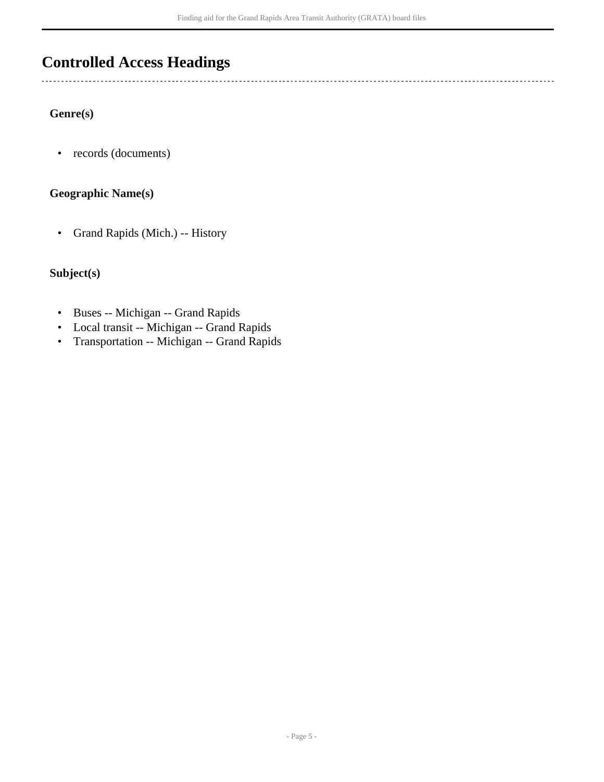# <span id="page-4-0"></span>**Controlled Access Headings**

## **Genre(s)**

 $\overline{a}$ 

• records (documents)

## **Geographic Name(s)**

• Grand Rapids (Mich.) -- History

## **Subject(s)**

- Buses -- Michigan -- Grand Rapids
- Local transit -- Michigan -- Grand Rapids
- Transportation -- Michigan -- Grand Rapids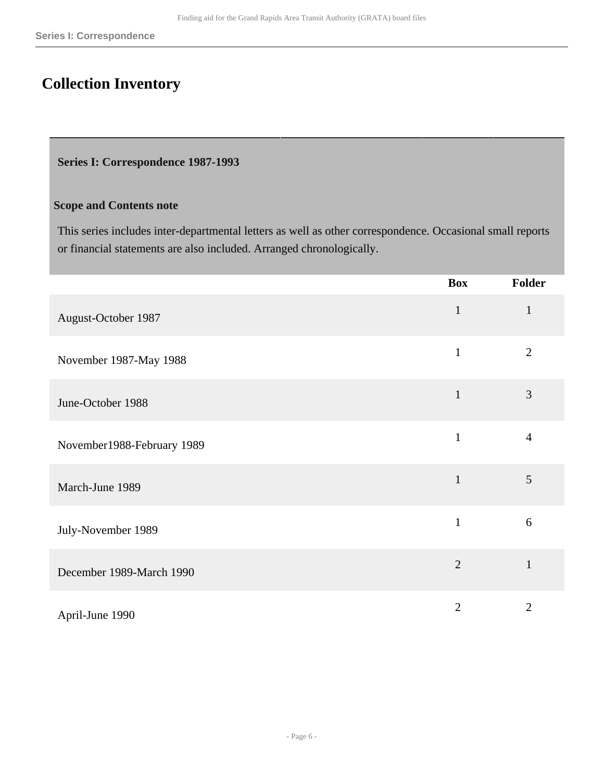# <span id="page-5-0"></span>**Collection Inventory**

#### <span id="page-5-1"></span>**Series I: Correspondence 1987-1993**

#### **Scope and Contents note**

This series includes inter-departmental letters as well as other correspondence. Occasional small reports or financial statements are also included. Arranged chronologically.

|                            | <b>Box</b>     | Folder         |
|----------------------------|----------------|----------------|
| August-October 1987        | $\mathbf{1}$   | $\mathbf{1}$   |
| November 1987-May 1988     | $\mathbf{1}$   | $\overline{2}$ |
| June-October 1988          | $\mathbf{1}$   | 3              |
| November1988-February 1989 | $\mathbf{1}$   | $\overline{4}$ |
| March-June 1989            | $\mathbf{1}$   | 5              |
| July-November 1989         | $\mathbf{1}$   | 6              |
| December 1989-March 1990   | $\overline{2}$ | $\mathbf{1}$   |
| April-June 1990            | $\overline{2}$ | $\overline{2}$ |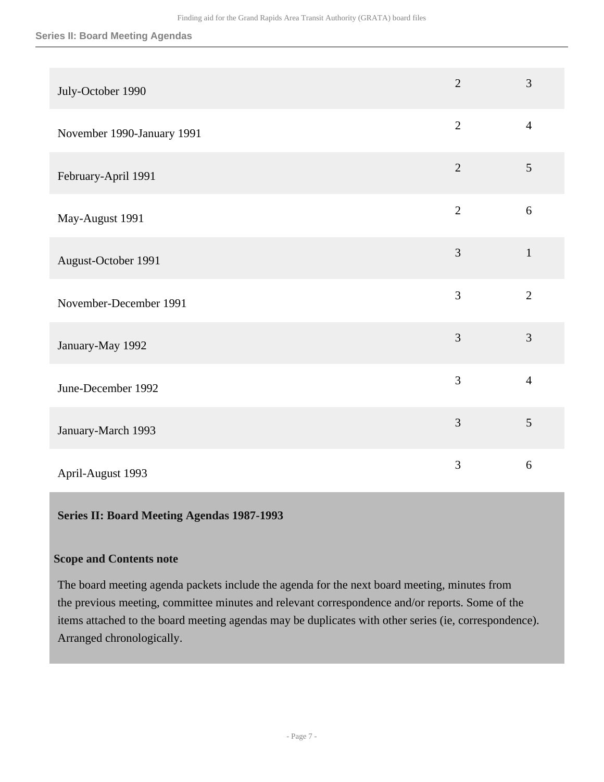#### **Series II: Board Meeting Agendas**

| July-October 1990          | $\overline{2}$ | 3              |
|----------------------------|----------------|----------------|
| November 1990-January 1991 | $\overline{2}$ | $\overline{4}$ |
| February-April 1991        | $\overline{2}$ | 5              |
| May-August 1991            | $\overline{2}$ | $\sqrt{6}$     |
| August-October 1991        | 3              | $\mathbf{1}$   |
| November-December 1991     | 3              | $\overline{2}$ |
| January-May 1992           | $\overline{3}$ | 3              |
| June-December 1992         | $\overline{3}$ | $\overline{4}$ |
| January-March 1993         | $\overline{3}$ | 5              |
| April-August 1993          | 3              | 6              |

#### <span id="page-6-0"></span>**Series II: Board Meeting Agendas 1987-1993**

## **Scope and Contents note**

The board meeting agenda packets include the agenda for the next board meeting, minutes from the previous meeting, committee minutes and relevant correspondence and/or reports. Some of the items attached to the board meeting agendas may be duplicates with other series (ie, correspondence). Arranged chronologically.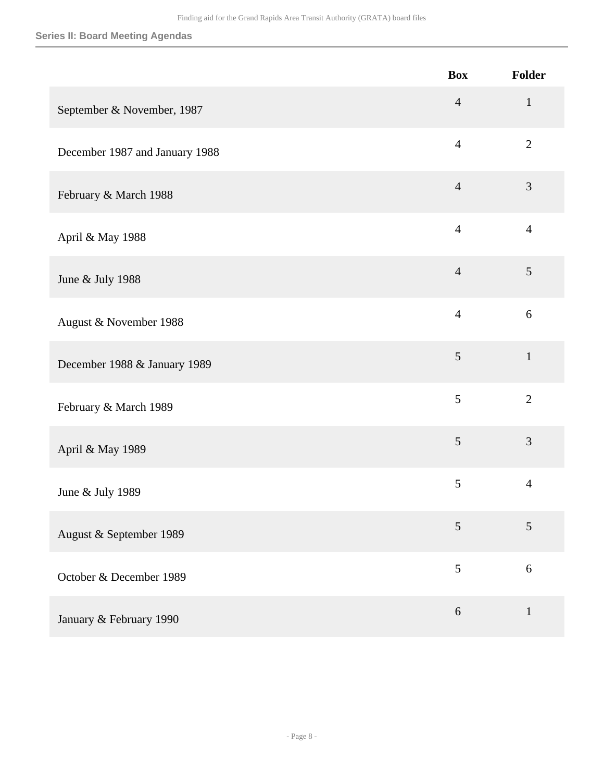#### **Series II: Board Meeting Agendas**

|                                | <b>Box</b>     | Folder         |
|--------------------------------|----------------|----------------|
| September & November, 1987     | $\overline{4}$ | $\mathbf{1}$   |
| December 1987 and January 1988 | $\overline{4}$ | $\overline{2}$ |
| February & March 1988          | $\overline{4}$ | 3              |
| April & May 1988               | $\overline{4}$ | $\overline{4}$ |
| June & July 1988               | $\overline{4}$ | 5              |
| August & November 1988         | $\overline{4}$ | 6              |
| December 1988 & January 1989   | $\mathfrak{S}$ | $\mathbf{1}$   |
| February & March 1989          | 5              | $\overline{2}$ |
| April & May 1989               | $\mathfrak{S}$ | 3              |
| June & July 1989               | 5              | $\overline{4}$ |
| August & September 1989        | $\mathfrak{S}$ | 5              |
| October & December 1989        | 5              | 6              |
| January & February 1990        | 6              | $\mathbf{1}$   |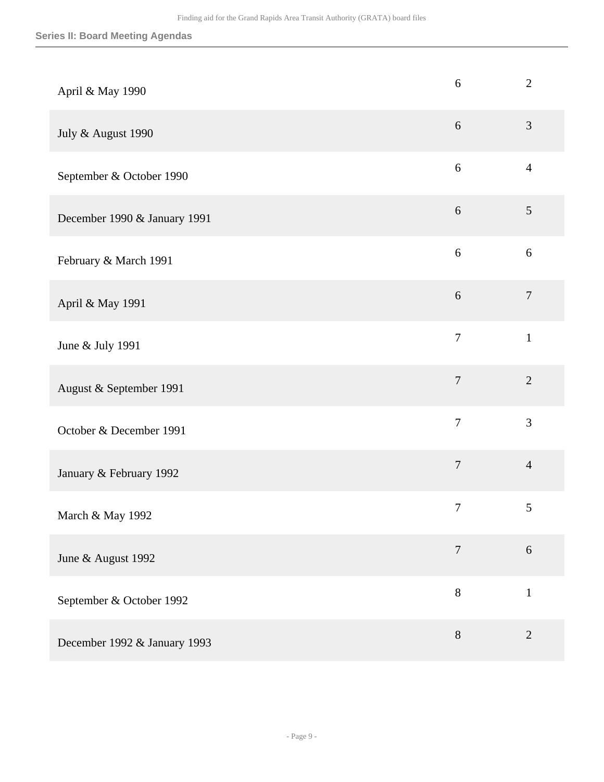| April & May 1990             | 6                | $\overline{2}$   |
|------------------------------|------------------|------------------|
| July & August 1990           | $6\,$            | $\mathfrak{Z}$   |
| September & October 1990     | 6                | $\overline{4}$   |
| December 1990 & January 1991 | 6                | $\overline{5}$   |
| February & March 1991        | $\sqrt{6}$       | $\sqrt{6}$       |
| April & May 1991             | $6\,$            | $\boldsymbol{7}$ |
| June & July 1991             | $\overline{7}$   | $\mathbf{1}$     |
| August & September 1991      | $\overline{7}$   | $\overline{2}$   |
| October & December 1991      | $\overline{7}$   | 3                |
| January & February 1992      | $\overline{7}$   | $\overline{4}$   |
| March & May 1992             | $\boldsymbol{7}$ | $\sqrt{5}$       |
| June & August 1992           | $\overline{7}$   | 6                |
| September & October 1992     | $8\,$            | $\mathbf{1}$     |
| December 1992 & January 1993 | $8\,$            | $\mathbf{2}$     |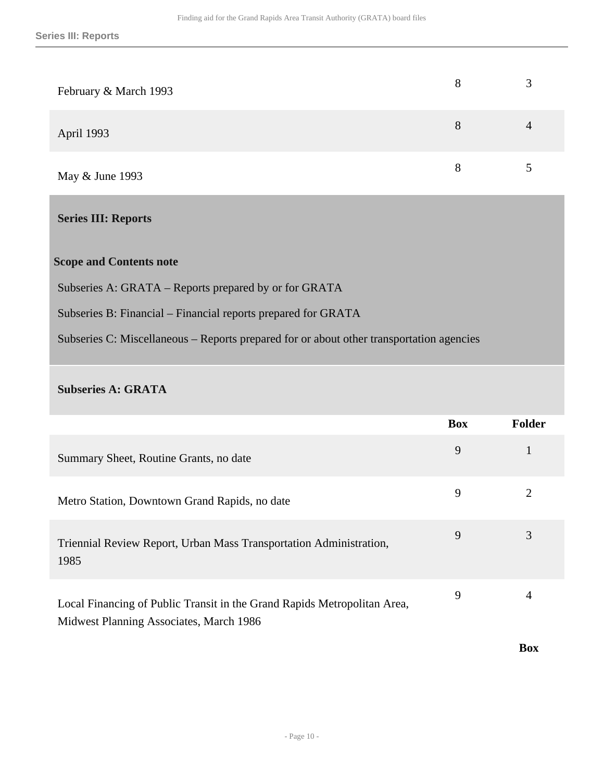| February & March 1993 | 8 | 3 |
|-----------------------|---|---|
| April 1993            | 8 | 4 |
| May & June 1993       | 8 |   |

### <span id="page-9-0"></span>**Series III: Reports**

### **Scope and Contents note**

Subseries A: GRATA – Reports prepared by or for GRATA

Subseries B: Financial – Financial reports prepared for GRATA

Subseries C: Miscellaneous – Reports prepared for or about other transportation agencies

#### **Subseries A: GRATA**

|                                                                                                                     | <b>Box</b> | <b>Folder</b> |
|---------------------------------------------------------------------------------------------------------------------|------------|---------------|
| Summary Sheet, Routine Grants, no date                                                                              | 9          |               |
| Metro Station, Downtown Grand Rapids, no date                                                                       | 9          |               |
| Triennial Review Report, Urban Mass Transportation Administration,<br>1985                                          | 9          | 3             |
| Local Financing of Public Transit in the Grand Rapids Metropolitan Area,<br>Midwest Planning Associates, March 1986 | 9          | 4             |

**Box**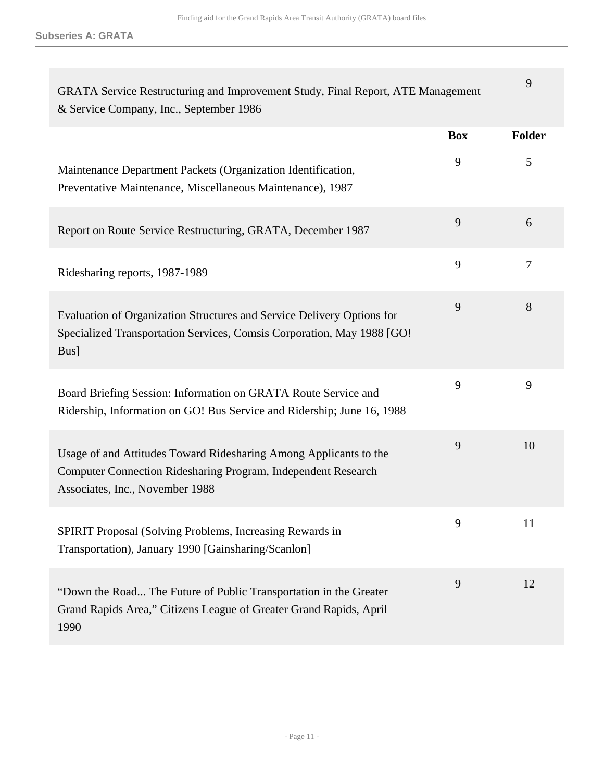**Subseries A: GRATA**

| GRATA Service Restructuring and Improvement Study, Final Report, ATE Management<br>& Service Company, Inc., September 1986                                            |            | 9              |
|-----------------------------------------------------------------------------------------------------------------------------------------------------------------------|------------|----------------|
|                                                                                                                                                                       | <b>Box</b> | <b>Folder</b>  |
| Maintenance Department Packets (Organization Identification,<br>Preventative Maintenance, Miscellaneous Maintenance), 1987                                            | 9          | 5              |
| Report on Route Service Restructuring, GRATA, December 1987                                                                                                           | 9          | 6              |
| Ridesharing reports, 1987-1989                                                                                                                                        | 9          | $\overline{7}$ |
| Evaluation of Organization Structures and Service Delivery Options for<br>Specialized Transportation Services, Comsis Corporation, May 1988 [GO!<br>Bus]              | 9          | 8              |
| Board Briefing Session: Information on GRATA Route Service and<br>Ridership, Information on GO! Bus Service and Ridership; June 16, 1988                              | 9          | 9              |
| Usage of and Attitudes Toward Ridesharing Among Applicants to the<br>Computer Connection Ridesharing Program, Independent Research<br>Associates, Inc., November 1988 | 9          | 10             |
| SPIRIT Proposal (Solving Problems, Increasing Rewards in<br>Transportation), January 1990 [Gainsharing/Scanlon]                                                       | 9          | 11             |
| "Down the Road The Future of Public Transportation in the Greater<br>Grand Rapids Area," Citizens League of Greater Grand Rapids, April<br>1990                       | 9          | 12             |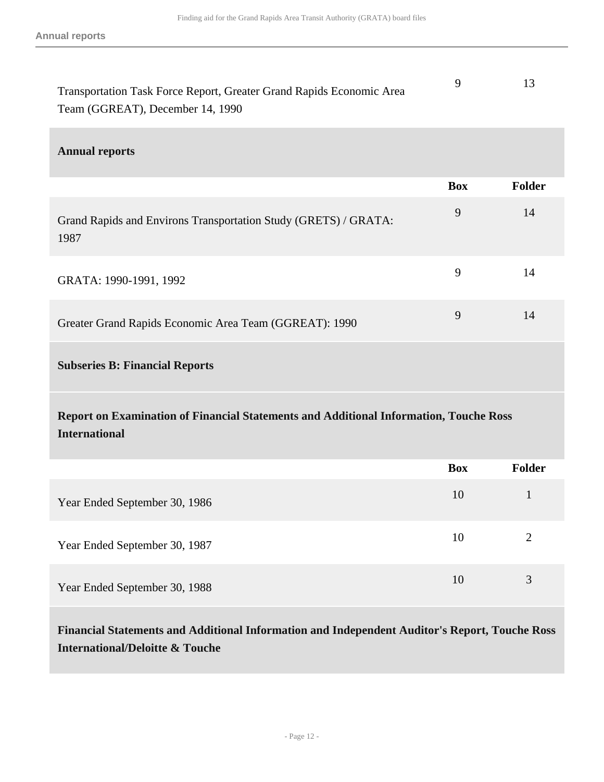| Transportation Task Force Report, Greater Grand Rapids Economic Area |  |
|----------------------------------------------------------------------|--|
| Team (GGREAT), December 14, 1990                                     |  |

#### **Annual reports**

|                                                                                                               | <b>Box</b> | <b>Folder</b>  |
|---------------------------------------------------------------------------------------------------------------|------------|----------------|
| Grand Rapids and Environs Transportation Study (GRETS) / GRATA:<br>1987                                       | 9          | 14             |
| GRATA: 1990-1991, 1992                                                                                        | 9          | 14             |
| Greater Grand Rapids Economic Area Team (GGREAT): 1990                                                        | 9          | 14             |
| <b>Subseries B: Financial Reports</b>                                                                         |            |                |
| Report on Examination of Financial Statements and Additional Information, Touche Ross<br><b>International</b> |            |                |
|                                                                                                               | <b>Box</b> | Folder         |
| Year Ended September 30, 1986                                                                                 | 10         | $\mathbf{1}$   |
| Year Ended September 30, 1987                                                                                 | 10         | $\overline{2}$ |
| Year Ended September 30, 1988                                                                                 | 10         | 3              |

**Financial Statements and Additional Information and Independent Auditor's Report, Touche Ross International/Deloitte & Touche**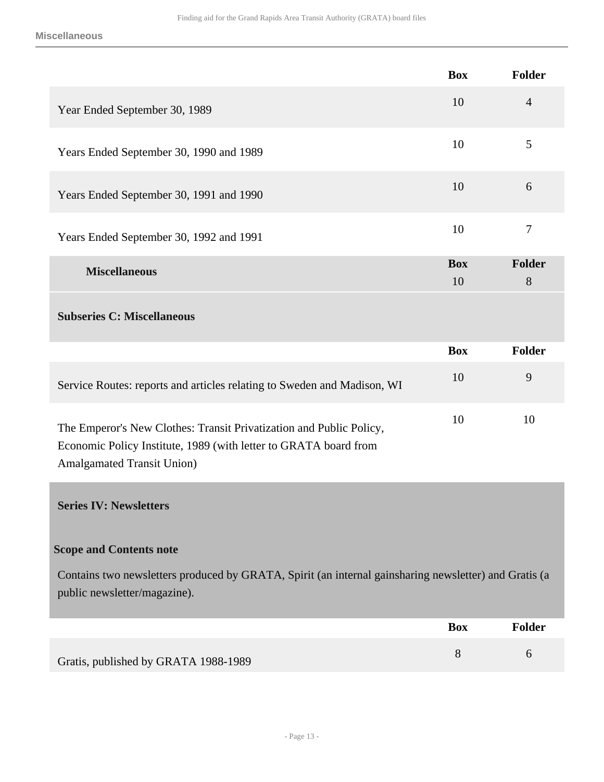<span id="page-12-0"></span>

|                                                                                                                                                                              | <b>Box</b>       | <b>Folder</b>      |
|------------------------------------------------------------------------------------------------------------------------------------------------------------------------------|------------------|--------------------|
| Year Ended September 30, 1989                                                                                                                                                | 10               | $\overline{4}$     |
| Years Ended September 30, 1990 and 1989                                                                                                                                      | 10               | 5                  |
| Years Ended September 30, 1991 and 1990                                                                                                                                      | 10               | 6                  |
| Years Ended September 30, 1992 and 1991                                                                                                                                      | 10               | $\tau$             |
| <b>Miscellaneous</b>                                                                                                                                                         | <b>Box</b><br>10 | <b>Folder</b><br>8 |
| <b>Subseries C: Miscellaneous</b>                                                                                                                                            |                  |                    |
|                                                                                                                                                                              | <b>Box</b>       | <b>Folder</b>      |
| Service Routes: reports and articles relating to Sweden and Madison, WI                                                                                                      | 10               | 9                  |
| The Emperor's New Clothes: Transit Privatization and Public Policy,<br>Economic Policy Institute, 1989 (with letter to GRATA board from<br><b>Amalgamated Transit Union)</b> | 10               | 10                 |
| <b>Series IV: Newsletters</b>                                                                                                                                                |                  |                    |
| <b>Scope and Contents note</b>                                                                                                                                               |                  |                    |
| Contains two newsletters produced by GRATA, Spirit (an internal gainsharing newsletter) and Gratis (a<br>public newsletter/magazine).                                        |                  |                    |
|                                                                                                                                                                              | <b>Box</b>       | Folder             |
| Gratis, published by GRATA 1988-1989                                                                                                                                         | 8                | 6                  |